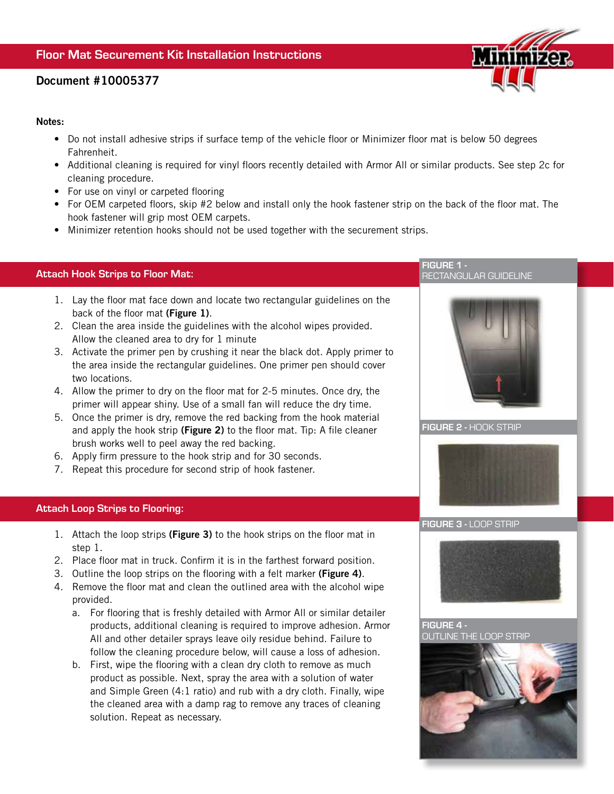# Document #10005377

#### Notes:

- Do not install adhesive strips if surface temp of the vehicle floor or Minimizer floor mat is below 50 degrees Fahrenheit.
- Additional cleaning is required for vinyl floors recently detailed with Armor All or similar products. See step 2c for cleaning procedure.
- For use on vinyl or carpeted flooring
- For OEM carpeted floors, skip #2 below and install only the hook fastener strip on the back of the floor mat. The hook fastener will grip most OEM carpets.
- Minimizer retention hooks should not be used together with the securement strips.

## Attach Hook Strips to Floor Mat:

- 1. Lay the floor mat face down and locate two rectangular guidelines on the back of the floor mat (Figure 1).
- 2. Clean the area inside the guidelines with the alcohol wipes provided. Allow the cleaned area to dry for 1 minute
- 3. Activate the primer pen by crushing it near the black dot. Apply primer to the area inside the rectangular guidelines. One primer pen should cover two locations.
- 4. Allow the primer to dry on the floor mat for 2-5 minutes. Once dry, the primer will appear shiny. Use of a small fan will reduce the dry time.
- 5. Once the primer is dry, remove the red backing from the hook material and apply the hook strip (Figure 2) to the floor mat. Tip: A file cleaner brush works well to peel away the red backing.
- 6. Apply firm pressure to the hook strip and for 30 seconds.
- 7. Repeat this procedure for second strip of hook fastener.

### Attach Loop Strips to Flooring:

- 1. Attach the loop strips (Figure 3) to the hook strips on the floor mat in step 1.
- 2. Place floor mat in truck. Confirm it is in the farthest forward position.
- 3. Outline the loop strips on the flooring with a felt marker (Figure 4).
- 4. Remove the floor mat and clean the outlined area with the alcohol wipe provided.
	- a. For flooring that is freshly detailed with Armor All or similar detailer products, additional cleaning is required to improve adhesion. Armor All and other detailer sprays leave oily residue behind. Failure to follow the cleaning procedure below, will cause a loss of adhesion.
	- b. First, wipe the flooring with a clean dry cloth to remove as much product as possible. Next, spray the area with a solution of water and Simple Green (4:1 ratio) and rub with a dry cloth. Finally, wipe the cleaned area with a damp rag to remove any traces of cleaning solution. Repeat as necessary.



RECTANGULAR GUIDELINE

FIGURE 2 - HOOK STRIP

FIGURE 1 -



#### FIGURE 3 - LOOP STRIP



FIGURE 4 - OUTLINE THE LOOP STRIP